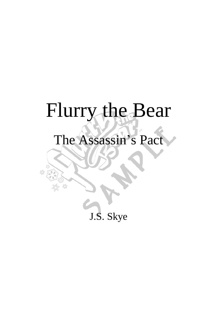## Flurry the Bear

## The Assassin's Pact

£<sup>0</sup>

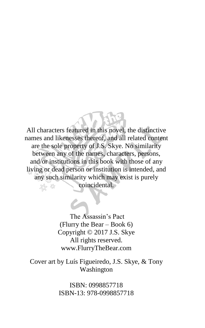All characters featured in this novel, the distinctive names and likenesses thereof, and all related content are the sole property of J.S. Skye. No similarity between any of the names, characters, persons, and/or institutions in this book with those of any living or dead person or institution is intended, and any such similarity which may exist is purely coincidental.

> The Assassin's Pact (Flurry the Bear – Book 6) Copyright © 2017 J.S. Skye All rights reserved. www.FlurryTheBear.com

Cover art by Luís Figueiredo, J.S. Skye, & Tony Washington

> ISBN: 0998857718 ISBN-13: 978-0998857718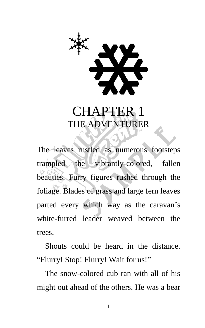

## CHAPTER 1 THE ADVENTURER

The leaves rustled as numerous footsteps trampled the vibrantly-colored, fallen beauties. Furry figures rushed through the foliage. Blades of grass and large fern leaves parted every which way as the caravan's white-furred leader weaved between the trees.

Shouts could be heard in the distance. "Flurry! Stop! Flurry! Wait for us!"

The snow-colored cub ran with all of his might out ahead of the others. He was a bear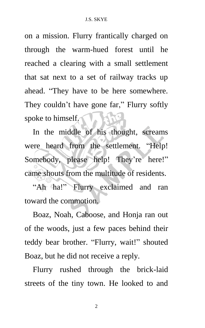on a mission. Flurry frantically charged on through the warm-hued forest until he reached a clearing with a small settlement that sat next to a set of railway tracks up ahead. "They have to be here somewhere. They couldn't have gone far," Flurry softly spoke to himself.

In the middle of his thought, screams were heard from the settlement. "Help! Somebody, please help! They're here!" came shouts from the multitude of residents.

"Ah ha!" Flurry exclaimed and ran toward the commotion.

Boaz, Noah, Caboose, and Honja ran out of the woods, just a few paces behind their teddy bear brother. "Flurry, wait!" shouted Boaz, but he did not receive a reply.

Flurry rushed through the brick-laid streets of the tiny town. He looked to and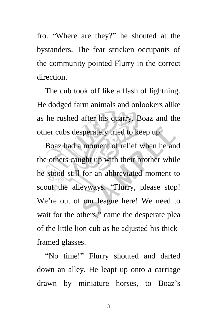fro. "Where are they?" he shouted at the bystanders. The fear stricken occupants of the community pointed Flurry in the correct direction.

The cub took off like a flash of lightning. He dodged farm animals and onlookers alike as he rushed after his quarry. Boaz and the other cubs desperately tried to keep up.

Boaz had a moment of relief when he and the others caught up with their brother while he stood still for an abbreviated moment to scout the alleyways. "Flurry, please stop! We're out of our league here! We need to wait for the others," came the desperate plea of the little lion cub as he adjusted his thickframed glasses.

"No time!" Flurry shouted and darted down an alley. He leapt up onto a carriage drawn by miniature horses, to Boaz's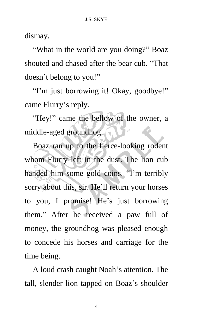dismay.

"What in the world are you doing?" Boaz shouted and chased after the bear cub. "That doesn't belong to you!"

"I'm just borrowing it! Okay, goodbye!" came Flurry's reply.

"Hey!" came the bellow of the owner, a middle-aged groundhog.

Boaz ran up to the fierce-looking rodent whom Flurry left in the dust. The lion cub handed him some gold coins. "I'm terribly sorry about this, sir. He'll return your horses to you, I promise! He's just borrowing them." After he received a paw full of money, the groundhog was pleased enough to concede his horses and carriage for the time being.

A loud crash caught Noah's attention. The tall, slender lion tapped on Boaz's shoulder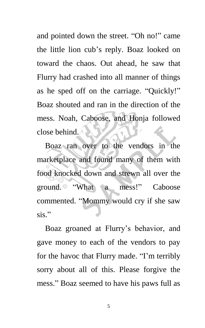and pointed down the street. "Oh no!" came the little lion cub's reply. Boaz looked on toward the chaos. Out ahead, he saw that Flurry had crashed into all manner of things as he sped off on the carriage. "Quickly!" Boaz shouted and ran in the direction of the mess. Noah, Caboose, and Honja followed close behind.

Boaz ran over to the vendors in the marketplace and found many of them with food knocked down and strewn all over the ground. "What a mess!" Caboose commented. "Mommy would cry if she saw sis."

Boaz groaned at Flurry's behavior, and gave money to each of the vendors to pay for the havoc that Flurry made. "I'm terribly sorry about all of this. Please forgive the mess." Boaz seemed to have his paws full as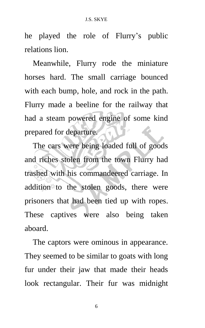he played the role of Flurry's public relations lion.

Meanwhile, Flurry rode the miniature horses hard. The small carriage bounced with each bump, hole, and rock in the path. Flurry made a beeline for the railway that had a steam powered engine of some kind prepared for departure.

The cars were being loaded full of goods and riches stolen from the town Flurry had trashed with his commandeered carriage. In addition to the stolen goods, there were prisoners that had been tied up with ropes. These captives were also being taken aboard.

The captors were ominous in appearance. They seemed to be similar to goats with long fur under their jaw that made their heads look rectangular. Their fur was midnight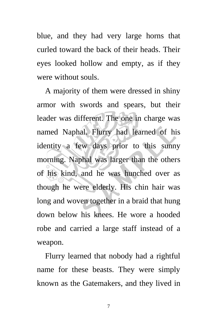blue, and they had very large horns that curled toward the back of their heads. Their eyes looked hollow and empty, as if they were without souls.

A majority of them were dressed in shiny armor with swords and spears, but their leader was different. The one in charge was named Naphal. Flurry had learned of his identity a few days prior to this sunny morning. Naphal was larger than the others of his kind, and he was hunched over as though he were elderly. His chin hair was long and woven together in a braid that hung down below his knees. He wore a hooded robe and carried a large staff instead of a weapon.

Flurry learned that nobody had a rightful name for these beasts. They were simply known as the Gatemakers, and they lived in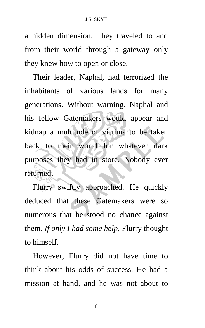a hidden dimension. They traveled to and from their world through a gateway only they knew how to open or close.

Their leader, Naphal, had terrorized the inhabitants of various lands for many generations. Without warning, Naphal and his fellow Gatemakers would appear and kidnap a multitude of victims to be taken back to their world for whatever dark purposes they had in store. Nobody ever returned.

Flurry swiftly approached. He quickly deduced that these Gatemakers were so numerous that he stood no chance against them. *If only I had some help*, Flurry thought to himself.

However, Flurry did not have time to think about his odds of success. He had a mission at hand, and he was not about to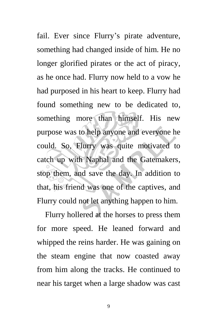fail. Ever since Flurry's pirate adventure, something had changed inside of him. He no longer glorified pirates or the act of piracy, as he once had. Flurry now held to a vow he had purposed in his heart to keep. Flurry had found something new to be dedicated to, something more than himself. His new purpose was to help anyone and everyone he could. So, Flurry was quite motivated to catch up with Naphal and the Gatemakers, stop them, and save the day. In addition to that, his friend was one of the captives, and Flurry could not let anything happen to him.

Flurry hollered at the horses to press them for more speed. He leaned forward and whipped the reins harder. He was gaining on the steam engine that now coasted away from him along the tracks. He continued to near his target when a large shadow was cast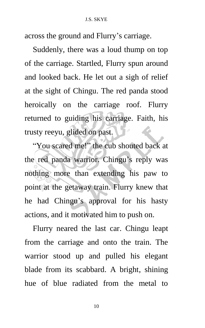across the ground and Flurry's carriage.

Suddenly, there was a loud thump on top of the carriage. Startled, Flurry spun around and looked back. He let out a sigh of relief at the sight of Chingu. The red panda stood heroically on the carriage roof. Flurry returned to guiding his carriage. Faith, his trusty reeyu, glided on past.

"You scared me!" the cub shouted back at the red panda warrior. Chingu's reply was nothing more than extending his paw to point at the getaway train. Flurry knew that he had Chingu's approval for his hasty actions, and it motivated him to push on.

Flurry neared the last car. Chingu leapt from the carriage and onto the train. The warrior stood up and pulled his elegant blade from its scabbard. A bright, shining hue of blue radiated from the metal to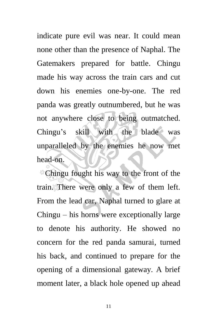indicate pure evil was near. It could mean none other than the presence of Naphal. The Gatemakers prepared for battle. Chingu made his way across the train cars and cut down his enemies one-by-one. The red panda was greatly outnumbered, but he was not anywhere close to being outmatched. Chingu's skill with the blade was unparalleled by the enemies he now met head-on.

Chingu fought his way to the front of the train. There were only a few of them left. From the lead car, Naphal turned to glare at Chingu – his horns were exceptionally large to denote his authority. He showed no concern for the red panda samurai, turned his back, and continued to prepare for the opening of a dimensional gateway. A brief moment later, a black hole opened up ahead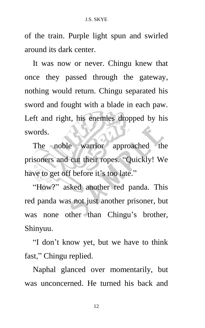of the train. Purple light spun and swirled around its dark center.

It was now or never. Chingu knew that once they passed through the gateway, nothing would return. Chingu separated his sword and fought with a blade in each paw. Left and right, his enemies dropped by his swords.

The noble warrior approached the prisoners and cut their ropes. "Quickly! We have to get off before it's too late."

"How?" asked another red panda. This red panda was not just another prisoner, but was none other than Chingu's brother, Shinyuu.

"I don't know yet, but we have to think fast," Chingu replied.

Naphal glanced over momentarily, but was unconcerned. He turned his back and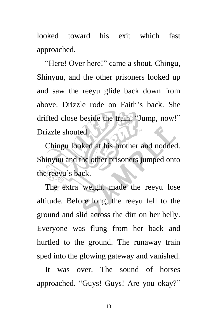looked toward his exit which fast approached.

"Here! Over here!" came a shout. Chingu, Shinyuu, and the other prisoners looked up and saw the reeyu glide back down from above. Drizzle rode on Faith's back. She drifted close beside the train. "Jump, now!" Drizzle shouted.

Chingu looked at his brother and nodded. Shinyuu and the other prisoners jumped onto the reeyu's back.

The extra weight made the reeyu lose altitude. Before long, the reeyu fell to the ground and slid across the dirt on her belly. Everyone was flung from her back and hurtled to the ground. The runaway train sped into the glowing gateway and vanished.

It was over. The sound of horses approached. "Guys! Guys! Are you okay?"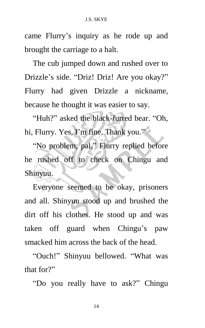came Flurry's inquiry as he rode up and brought the carriage to a halt.

The cub jumped down and rushed over to Drizzle's side. "Driz! Driz! Are you okay?" Flurry had given Drizzle a nickname, because he thought it was easier to say.

"Huh?" asked the black-furred bear. "Oh, hi, Flurry. Yes, I'm fine. Thank you."

"No problem, pal," Flurry replied before he rushed off to check on Chingu and Shinyuu.

Everyone seemed to be okay, prisoners and all. Shinyuu stood up and brushed the dirt off his clothes. He stood up and was taken off guard when Chingu's paw smacked him across the back of the head.

"Ouch!" Shinyuu bellowed. "What was that for?"

"Do you really have to ask?" Chingu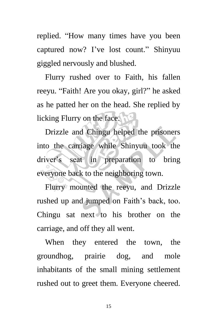replied. "How many times have you been captured now? I've lost count." Shinyuu giggled nervously and blushed.

Flurry rushed over to Faith, his fallen reeyu. "Faith! Are you okay, girl?" he asked as he patted her on the head. She replied by licking Flurry on the face.

Drizzle and Chingu helped the prisoners into the carriage while Shinyuu took the driver's seat in preparation to bring everyone back to the neighboring town.

Flurry mounted the reeyu, and Drizzle rushed up and jumped on Faith's back, too. Chingu sat next to his brother on the carriage, and off they all went.

When they entered the town, the groundhog, prairie dog, and mole inhabitants of the small mining settlement rushed out to greet them. Everyone cheered.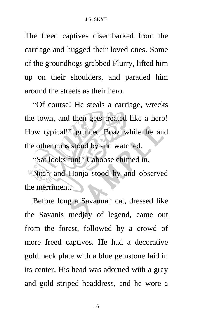The freed captives disembarked from the carriage and hugged their loved ones. Some of the groundhogs grabbed Flurry, lifted him up on their shoulders, and paraded him around the streets as their hero.

"Of course! He steals a carriage, wrecks the town, and then gets treated like a hero! How typical!" grunted Boaz while he and the other cubs stood by and watched.

"Sat looks fun!" Caboose chimed in. Noah and Honja stood by and observed the merriment.

Before long a Savannah cat, dressed like the Savanis medjay of legend, came out from the forest, followed by a crowd of more freed captives. He had a decorative gold neck plate with a blue gemstone laid in its center. His head was adorned with a gray and gold striped headdress, and he wore a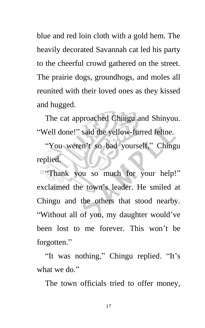blue and red loin cloth with a gold hem. The heavily decorated Savannah cat led his party to the cheerful crowd gathered on the street. The prairie dogs, groundhogs, and moles all reunited with their loved ones as they kissed and hugged.

The cat approached Chingu and Shinyuu. "Well done!" said the yellow-furred feline.

"You weren't so bad yourself," Chingu replied.

"Thank you so much for your help!" exclaimed the town's leader. He smiled at Chingu and the others that stood nearby. "Without all of you, my daughter would've been lost to me forever. This won't be forgotten."

"It was nothing," Chingu replied. "It's what we do."

The town officials tried to offer money,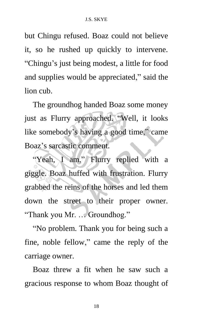but Chingu refused. Boaz could not believe it, so he rushed up quickly to intervene. "Chingu's just being modest, a little for food and supplies would be appreciated," said the lion cub.

The groundhog handed Boaz some money just as Flurry approached. "Well, it looks like somebody's having a good time," came Boaz's sarcastic comment.

"Yeah, I am," Flurry replied with a giggle. Boaz huffed with frustration. Flurry grabbed the reins of the horses and led them down the street to their proper owner. "Thank you Mr. … Groundhog."

"No problem. Thank you for being such a fine, noble fellow," came the reply of the carriage owner.

Boaz threw a fit when he saw such a gracious response to whom Boaz thought of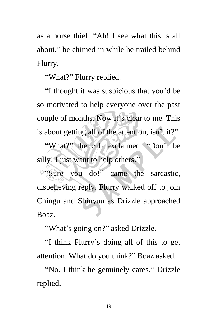as a horse thief. "Ah! I see what this is all about," he chimed in while he trailed behind Flurry.

"What?" Flurry replied.

"I thought it was suspicious that you'd be so motivated to help everyone over the past couple of months. Now it's clear to me. This is about getting all of the attention, isn't it?"

"What?" the cub exclaimed. "Don't be silly! I just want to help others."

"Sure you do!" came the sarcastic, disbelieving reply. Flurry walked off to join Chingu and Shinyuu as Drizzle approached Boaz.

"What's going on?" asked Drizzle.

"I think Flurry's doing all of this to get attention. What do you think?" Boaz asked.

"No. I think he genuinely cares," Drizzle replied.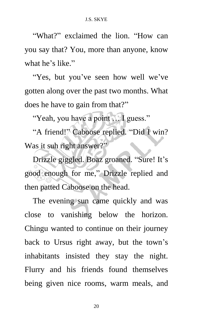"What?" exclaimed the lion. "How can you say that? You, more than anyone, know what he's like."

"Yes, but you've seen how well we've gotten along over the past two months. What does he have to gain from that?"

"Yeah, you have a point … I guess."

"A friend!" Caboose replied. "Did I win? Was it suh right answer?"

Drizzle giggled. Boaz groaned. "Sure! It's good enough for me," Drizzle replied and then patted Caboose on the head.

The evening sun came quickly and was close to vanishing below the horizon. Chingu wanted to continue on their journey back to Ursus right away, but the town's inhabitants insisted they stay the night. Flurry and his friends found themselves being given nice rooms, warm meals, and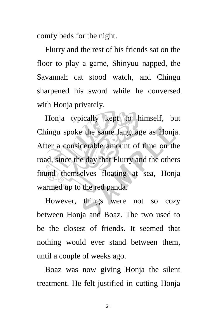comfy beds for the night.

Flurry and the rest of his friends sat on the floor to play a game, Shinyuu napped, the Savannah cat stood watch, and Chingu sharpened his sword while he conversed with Honja privately.

Honja typically kept to himself, but Chingu spoke the same language as Honja. After a considerable amount of time on the road, since the day that Flurry and the others found themselves floating at sea, Honja warmed up to the red panda.

However, things were not so cozy between Honja and Boaz. The two used to be the closest of friends. It seemed that nothing would ever stand between them, until a couple of weeks ago.

Boaz was now giving Honja the silent treatment. He felt justified in cutting Honja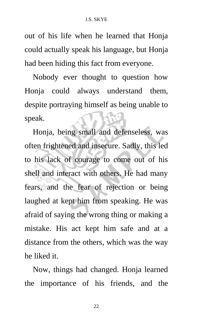out of his life when he learned that Honja could actually speak his language, but Honja had been hiding this fact from everyone.

Nobody ever thought to question how Honja could always understand them, despite portraying himself as being unable to speak.

Honja, being small and defenseless, was often frightened and insecure. Sadly, this led to his lack of courage to come out of his shell and interact with others. He had many fears, and the fear of rejection or being laughed at kept him from speaking. He was afraid of saying the wrong thing or making a mistake. His act kept him safe and at a distance from the others, which was the way he liked it.

Now, things had changed. Honja learned the importance of his friends, and the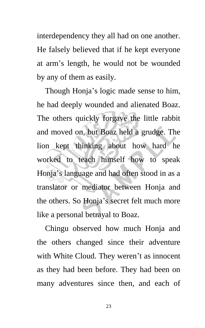interdependency they all had on one another. He falsely believed that if he kept everyone at arm's length, he would not be wounded by any of them as easily.

Though Honja's logic made sense to him, he had deeply wounded and alienated Boaz. The others quickly forgave the little rabbit and moved on, but Boaz held a grudge. The lion kept thinking about how hard he worked to teach himself how to speak Honja's language and had often stood in as a translator or mediator between Honja and the others. So Honja's secret felt much more like a personal betrayal to Boaz.

Chingu observed how much Honja and the others changed since their adventure with White Cloud. They weren't as innocent as they had been before. They had been on many adventures since then, and each of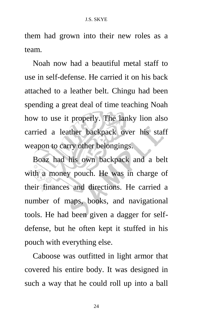## J.S. SKYE

them had grown into their new roles as a team.

Noah now had a beautiful metal staff to use in self-defense. He carried it on his back attached to a leather belt. Chingu had been spending a great deal of time teaching Noah how to use it properly. The lanky lion also carried a leather backpack over his staff weapon to carry other belongings.

Boaz had his own backpack and a belt with a money pouch. He was in charge of their finances and directions. He carried a number of maps, books, and navigational tools. He had been given a dagger for selfdefense, but he often kept it stuffed in his pouch with everything else.

Caboose was outfitted in light armor that covered his entire body. It was designed in such a way that he could roll up into a ball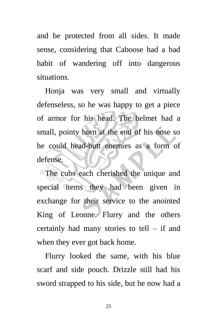and be protected from all sides. It made sense, considering that Caboose had a bad habit of wandering off into dangerous situations.

Honja was very small and virtually defenseless, so he was happy to get a piece of armor for his head. The helmet had a small, pointy horn at the end of his nose so he could head-butt enemies as a form of defense.

The cubs each cherished the unique and special items they had been given in exchange for their service to the anointed King of Leonne. Flurry and the others certainly had many stories to tell – if and when they ever got back home.

Flurry looked the same, with his blue scarf and side pouch. Drizzle still had his sword strapped to his side, but he now had a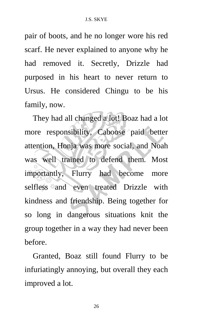pair of boots, and he no longer wore his red scarf. He never explained to anyone why he had removed it. Secretly, Drizzle had purposed in his heart to never return to Ursus. He considered Chingu to be his family, now.

They had all changed a lot! Boaz had a lot more responsibility, Caboose paid better attention, Honja was more social, and Noah was well trained to defend them. Most importantly, Flurry had become more selfless and even treated Drizzle with kindness and friendship. Being together for so long in dangerous situations knit the group together in a way they had never been before.

Granted, Boaz still found Flurry to be infuriatingly annoying, but overall they each improved a lot.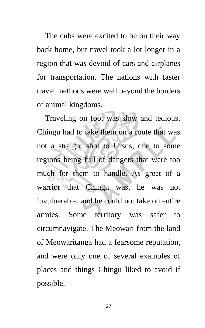The cubs were excited to be on their way back home, but travel took a lot longer in a region that was devoid of cars and airplanes for transportation. The nations with faster travel methods were well beyond the borders of animal kingdoms.

Traveling on foot was slow and tedious. Chingu had to take them on a route that was not a straight shot to Ursus, due to some regions being full of dangers that were too much for them to handle. As great of a warrior that Chingu was, he was not invulnerable, and he could not take on entire armies. Some territory was safer to circumnavigate. The Meowari from the land of Meowaritanga had a fearsome reputation, and were only one of several examples of places and things Chingu liked to avoid if possible.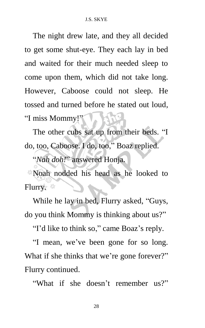The night drew late, and they all decided to get some shut-eye. They each lay in bed and waited for their much needed sleep to come upon them, which did not take long. However, Caboose could not sleep. He tossed and turned before he stated out loud, "I miss Mommy!"

The other cubs sat up from their beds. "I do, too, Caboose. I do, too," Boaz replied.

"*Nah doh!*" answered Honja.

Noah nodded his head as he looked to Flurry.  $\frac{26}{100}$ 

While he lay in bed, Flurry asked, "Guys, do you think Mommy is thinking about us?"

"I'd like to think so," came Boaz's reply.

"I mean, we've been gone for so long. What if she thinks that we're gone forever?" Flurry continued.

"What if she doesn't remember us?"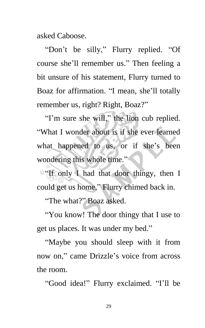asked Caboose.

"Don't be silly," Flurry replied. "Of course she'll remember us." Then feeling a bit unsure of his statement, Flurry turned to Boaz for affirmation. "I mean, she'll totally remember us, right? Right, Boaz?"

"I'm sure she will," the lion cub replied. "What I wonder about is if she ever learned what happened to us, or if she's been wondering this whole time."

"If only I had that door thingy, then I could get us home," Flurry chimed back in.

"The what?" Boaz asked.

"You know! The door thingy that I use to get us places. It was under my bed."

"Maybe you should sleep with it from now on," came Drizzle's voice from across the room.

"Good idea!" Flurry exclaimed. "I'll be